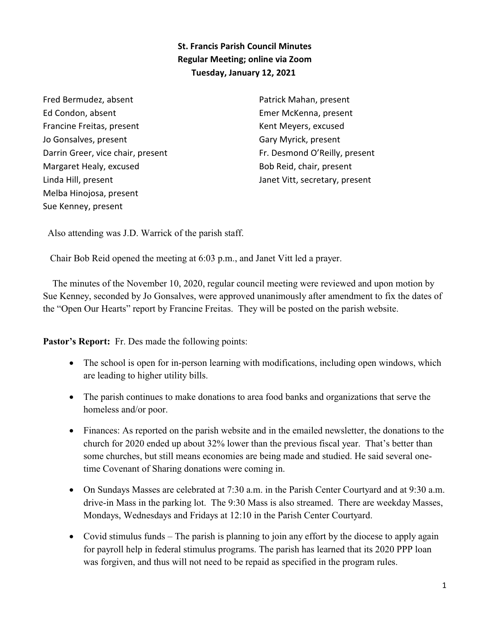**St. Francis Parish Council Minutes Regular Meeting; online via Zoom Tuesday, January 12, 2021** 

Fred Bermudez, absent Ed Condon, absent Francine Freitas, present Jo Gonsalves, present Darrin Greer, vice chair, present Margaret Healy, excused Linda Hill, present Melba Hinojosa, present Sue Kenney, present

Patrick Mahan, present Emer McKenna, present Kent Meyers, excused Gary Myrick, present Fr. Desmond O'Reilly, present Bob Reid, chair, present Janet Vitt, secretary, present

Also attending was J.D. Warrick of the parish staff.

Chair Bob Reid opened the meeting at 6:03 p.m., and Janet Vitt led a prayer.

 The minutes of the November 10, 2020, regular council meeting were reviewed and upon motion by Sue Kenney, seconded by Jo Gonsalves, were approved unanimously after amendment to fix the dates of the "Open Our Hearts" report by Francine Freitas. They will be posted on the parish website.

Pastor's Report: Fr. Des made the following points:

- The school is open for in-person learning with modifications, including open windows, which are leading to higher utility bills.
- · The parish continues to make donations to area food banks and organizations that serve the homeless and/or poor.
- · Finances: As reported on the parish website and in the emailed newsletter, the donations to the church for 2020 ended up about 32% lower than the previous fiscal year. That's better than some churches, but still means economies are being made and studied. He said several onetime Covenant of Sharing donations were coming in.
- · On Sundays Masses are celebrated at 7:30 a.m. in the Parish Center Courtyard and at 9:30 a.m. drive-in Mass in the parking lot. The 9:30 Mass is also streamed. There are weekday Masses, Mondays, Wednesdays and Fridays at 12:10 in the Parish Center Courtyard.
- Covid stimulus funds The parish is planning to join any effort by the diocese to apply again for payroll help in federal stimulus programs. The parish has learned that its 2020 PPP loan was forgiven, and thus will not need to be repaid as specified in the program rules.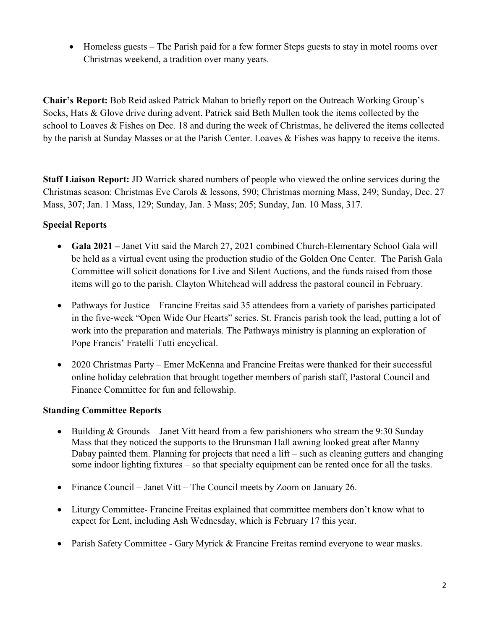• Homeless guests – The Parish paid for a few former Steps guests to stay in motel rooms over Christmas weekend, a tradition over many years.

**Chair's Report:** Bob Reid asked Patrick Mahan to briefly report on the Outreach Working Group's Socks, Hats & Glove drive during advent. Patrick said Beth Mullen took the items collected by the school to Loaves & Fishes on Dec. 18 and during the week of Christmas, he delivered the items collected by the parish at Sunday Masses or at the Parish Center. Loaves & Fishes was happy to receive the items.

**Staff Liaison Report:** JD Warrick shared numbers of people who viewed the online services during the Christmas season: Christmas Eve Carols & lessons, 590; Christmas morning Mass, 249; Sunday, Dec. 27 Mass, 307; Jan. 1 Mass, 129; Sunday, Jan. 3 Mass; 205; Sunday, Jan. 10 Mass, 317.

## **Special Reports**

- · **Gala 2021** Janet Vitt said the March 27, 2021 combined Church-Elementary School Gala will be held as a virtual event using the production studio of the Golden One Center. The Parish Gala Committee will solicit donations for Live and Silent Auctions, and the funds raised from those items will go to the parish. Clayton Whitehead will address the pastoral council in February.
- Pathways for Justice Francine Freitas said 35 attendees from a variety of parishes participated in the five-week "Open Wide Our Hearts" series. St. Francis parish took the lead, putting a lot of work into the preparation and materials. The Pathways ministry is planning an exploration of Pope Francis' Fratelli Tutti encyclical.
- 2020 Christmas Party Emer McKenna and Francine Freitas were thanked for their successful online holiday celebration that brought together members of parish staff, Pastoral Council and Finance Committee for fun and fellowship.

## **Standing Committee Reports**

- Building & Grounds Janet Vitt heard from a few parishioners who stream the 9:30 Sunday Mass that they noticed the supports to the Brunsman Hall awning looked great after Manny Dabay painted them. Planning for projects that need a lift – such as cleaning gutters and changing some indoor lighting fixtures – so that specialty equipment can be rented once for all the tasks.
- Finance Council Janet Vitt The Council meets by Zoom on January 26.
- · Liturgy Committee- Francine Freitas explained that committee members don't know what to expect for Lent, including Ash Wednesday, which is February 17 this year.
- Parish Safety Committee Gary Myrick & Francine Freitas remind everyone to wear masks.